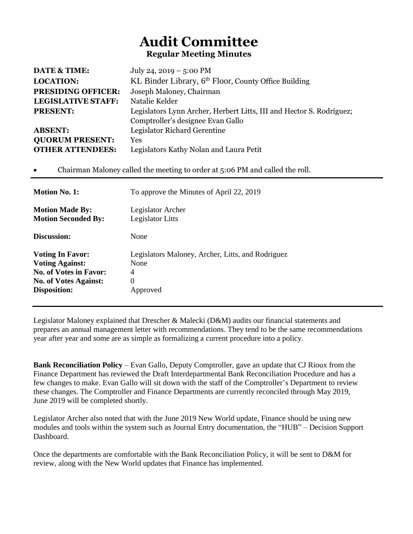## **Audit Committee Regular Meeting Minutes**

| DATE & TIME:                                                                         | July 24, 2019 – 5:00 PM                                                      |
|--------------------------------------------------------------------------------------|------------------------------------------------------------------------------|
| <b>LOCATION:</b>                                                                     | KL Binder Library, 6th Floor, County Office Building                         |
| <b>PRESIDING OFFICER:</b>                                                            | Joseph Maloney, Chairman                                                     |
| <b>LEGISLATIVE STAFF:</b>                                                            | Natalie Kelder                                                               |
| <b>PRESENT:</b>                                                                      | Legislators Lynn Archer, Herbert Litts, III and Hector S. Rodriguez;         |
|                                                                                      | Comptroller's designee Evan Gallo                                            |
| <b>ABSENT:</b>                                                                       | Legislator Richard Gerentine                                                 |
| <b>QUORUM PRESENT:</b>                                                               | Yes                                                                          |
| <b>OTHER ATTENDEES:</b>                                                              | Legislators Kathy Nolan and Laura Petit                                      |
|                                                                                      | Chairman Maloney called the meeting to order at 5:06 PM and called the roll. |
|                                                                                      |                                                                              |
| <b>Motion No. 1:</b>                                                                 | To approve the Minutes of April 22, 2019                                     |
| <b>Motion Made By:</b>                                                               | Legislator Archer                                                            |
| <b>Motion Seconded By:</b>                                                           | Legislator Litts                                                             |
|                                                                                      | None                                                                         |
| Discussion:<br><b>Voting In Favor:</b>                                               | Legislators Maloney, Archer, Litts, and Rodriguez                            |
| <b>Voting Against:</b>                                                               | None                                                                         |
|                                                                                      | 4                                                                            |
| <b>No. of Votes in Favor:</b><br><b>No. of Votes Against:</b><br><b>Disposition:</b> | $\overline{0}$                                                               |

Legislator Maloney explained that Drescher & Malecki (D&M) audits our financial statements and prepares an annual management letter with recommendations. They tend to be the same recommendations year after year and some are as simple as formalizing a current procedure into a policy.

**Bank Reconciliation Policy** – Evan Gallo, Deputy Comptroller, gave an update that CJ Rioux from the Finance Department has reviewed the Draft Interdepartmental Bank Reconciliation Procedure and has a few changes to make. Evan Gallo will sit down with the staff of the Comptroller's Department to review these changes. The Comptroller and Finance Departments are currently reconciled through May 2019, June 2019 will be completed shortly.

Legislator Archer also noted that with the June 2019 New World update, Finance should be using new modules and tools within the system such as Journal Entry documentation, the "HUB" – Decision Support Dashboard.

Once the departments are comfortable with the Bank Reconciliation Policy, it will be sent to D&M for review, along with the New World updates that Finance has implemented.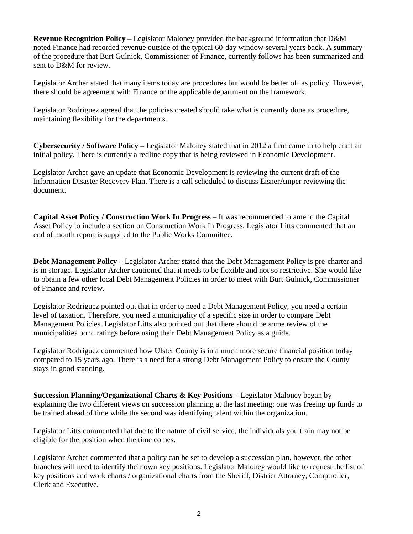**Revenue Recognition Policy –** Legislator Maloney provided the background information that D&M noted Finance had recorded revenue outside of the typical 60-day window several years back. A summary of the procedure that Burt Gulnick, Commissioner of Finance, currently follows has been summarized and sent to D&M for review.

Legislator Archer stated that many items today are procedures but would be better off as policy. However, there should be agreement with Finance or the applicable department on the framework.

Legislator Rodriguez agreed that the policies created should take what is currently done as procedure, maintaining flexibility for the departments.

**Cybersecurity / Software Policy –** Legislator Maloney stated that in 2012 a firm came in to help craft an initial policy. There is currently a redline copy that is being reviewed in Economic Development.

Legislator Archer gave an update that Economic Development is reviewing the current draft of the Information Disaster Recovery Plan. There is a call scheduled to discuss EisnerAmper reviewing the document.

**Capital Asset Policy / Construction Work In Progress –** It was recommended to amend the Capital Asset Policy to include a section on Construction Work In Progress. Legislator Litts commented that an end of month report is supplied to the Public Works Committee.

**Debt Management Policy –** Legislator Archer stated that the Debt Management Policy is pre-charter and is in storage. Legislator Archer cautioned that it needs to be flexible and not so restrictive. She would like to obtain a few other local Debt Management Policies in order to meet with Burt Gulnick, Commissioner of Finance and review.

Legislator Rodriguez pointed out that in order to need a Debt Management Policy, you need a certain level of taxation. Therefore, you need a municipality of a specific size in order to compare Debt Management Policies. Legislator Litts also pointed out that there should be some review of the municipalities bond ratings before using their Debt Management Policy as a guide.

Legislator Rodriguez commented how Ulster County is in a much more secure financial position today compared to 15 years ago. There is a need for a strong Debt Management Policy to ensure the County stays in good standing.

**Succession Planning/Organizational Charts & Key Positions –** Legislator Maloney began by explaining the two different views on succession planning at the last meeting; one was freeing up funds to be trained ahead of time while the second was identifying talent within the organization.

Legislator Litts commented that due to the nature of civil service, the individuals you train may not be eligible for the position when the time comes.

Legislator Archer commented that a policy can be set to develop a succession plan, however, the other branches will need to identify their own key positions. Legislator Maloney would like to request the list of key positions and work charts / organizational charts from the Sheriff, District Attorney, Comptroller, Clerk and Executive.